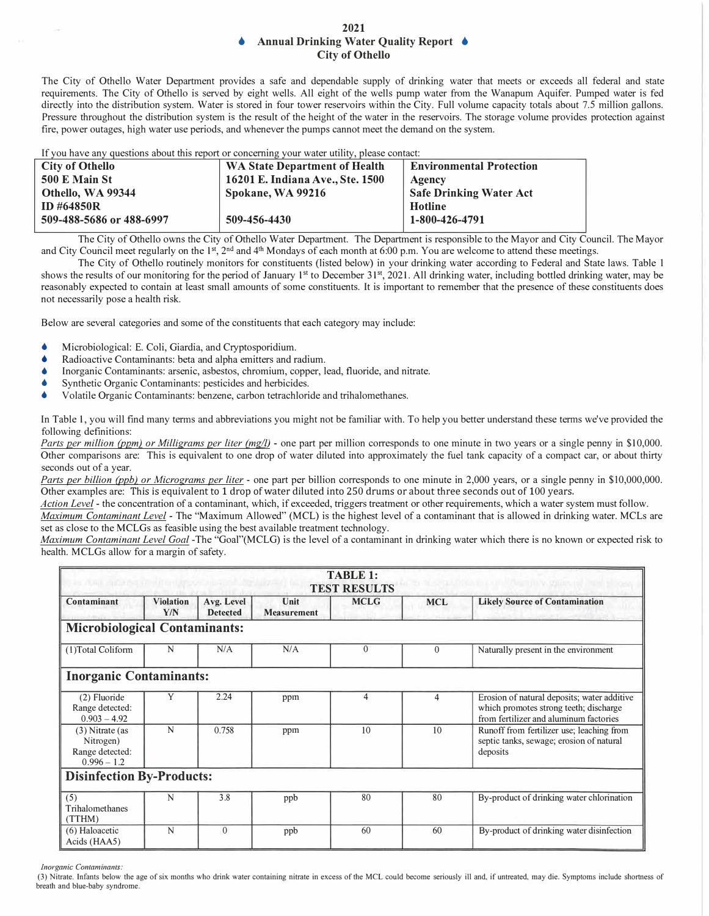## **2021 • Annual Drinking Water Quality Report • City of Othello**

The City of Othello Water Department provides a safe and dependable supply of drinking water that meets or exceeds all federal and state requirements. The City of Othello is served by eight wells. All eight of the wells pump water from the Wanapum Aquifer. Pumped water is fed directly into the distribution system. Water is stored in four tower reservoirs within the City. Full volume capacity totals about 7.5 million gallons. Pressure throughout the distribution system is the result of the height of the water in the reservoirs. The storage volume provides protection against fire, power outages, high water use periods, and whenever the pumps cannot meet the demand on the system.

| If you have any questions about this report or concerning your water utility, please contact: |                                      |                                 |  |  |
|-----------------------------------------------------------------------------------------------|--------------------------------------|---------------------------------|--|--|
| <b>City of Othello</b>                                                                        | <b>WA State Department of Health</b> | <b>Environmental Protection</b> |  |  |
| <b>500 E Main St</b>                                                                          | 16201 E. Indiana Ave., Ste. 1500     | Agency                          |  |  |
| Othello, WA 99344                                                                             | Spokane, WA 99216                    | <b>Safe Drinking Water Act</b>  |  |  |
| <b>ID #64850R</b>                                                                             |                                      | Hotline                         |  |  |
| 509-488-5686 or 488-6997                                                                      | 509-456-4430                         | 1-800-426-4791                  |  |  |
|                                                                                               |                                      |                                 |  |  |

The City of Othello owns the City of Othello Water Department. The Department is responsible to the Mayor and City Council. The Mayor and City Council meet regularly on the 1<sup>st</sup>, 2<sup>nd</sup> and 4<sup>th</sup> Mondays of each month at 6:00 p.m. You are welcome to attend these meetings.

The City of Othello routinely monitors for constituents (listed below) in your drinking water according to Federal and State laws. Table I shows the results of our monitoring for the period of January 1<sup>st</sup> to December 31<sup>st</sup>, 2021. All drinking water, including bottled drinking water, may be reasonably expected to contain at least small amounts of some constituents. It is important to remember that the presence of these constituents does not necessarily pose a health risk.

Below are several categories and some of the constituents that each category may include:

- Microbiological: E. Coli, Giardia, and Cryptosporidium.
- Radioactive Contaminants: beta and alpha emitters and radium.
- Inorganic Contaminants: arsenic, asbestos, chromium, copper, lead, fluoride, and nitrate.
- Synthetic Organic Contaminants: pesticides and herbicides.
- Volatile Organic Contaminants: benzene, carbon tetrachloride and trihalomethanes.

In Table 1, you will find many terms and abbreviations you might not be familiar with. To help you better understand these terms we've provided the following definitions:

*Parts per million (ppm) or Milligrams per liter (mg/l)* - one part per million corresponds to one minute in two years or a single penny in \$10,000. Other comparisons are: This is equivalent to one drop of water diluted into approximately the fuel tank capacity of a compact car, or about thirty seconds out of a year.

*Parts per billion (ppb) or Micrograms per liter* - one part per billion corresponds to one minute in 2,000 years, or a single penny in \$10,000,000. Other examples are: This is equivalent to 1 drop of water diluted into 250 drums or about three seconds out of 100 years.

*Action Level* - the concentration of a contaminant, which, if exceeded, triggers treatment or other requirements, which a water system must follow.

*Maximum Contaminant Level* - The "Maximum Allowed" (MCL) is the highest level of a contaminant that is allowed in drinking water. MCLs are set as close to the MCLGs as feasible using the best available treatment technology.

*Maximum Contaminant Level Goal* -The "Goal"(MCLG) is the level of a contaminant in drinking water which there is no known or expected risk to health. MCLGs allow for a margin of safety.

| <b>TABLE 1:</b><br><b>ALCOHOL: A BARBARA A DESTINA A CALIFA (A)</b><br><b>COLORADO ANGLES CONTRACTOR</b><br><b>TEST RESULTS</b> |                         |                               |                            |              |                |                                                                                                                                 |
|---------------------------------------------------------------------------------------------------------------------------------|-------------------------|-------------------------------|----------------------------|--------------|----------------|---------------------------------------------------------------------------------------------------------------------------------|
| Contaminant                                                                                                                     | <b>Violation</b><br>Y/N | Avg. Level<br><b>Detected</b> | Unit<br><b>Measurement</b> | <b>MCLG</b>  | <b>MCL</b>     | <b>Likely Source of Contamination</b>                                                                                           |
| <b>Microbiological Contaminants:</b>                                                                                            |                         |                               |                            |              |                |                                                                                                                                 |
| (1) Total Coliform                                                                                                              | N                       | N/A                           | N/A                        | $\mathbf{0}$ | $\mathbf{0}$   | Naturally present in the environment                                                                                            |
| <b>Inorganic Contaminants:</b>                                                                                                  |                         |                               |                            |              |                |                                                                                                                                 |
| (2) Fluoride<br>Range detected:<br>$0.903 - 4.92$                                                                               | Y                       | 2.24                          | ppm                        | 4            | $\overline{4}$ | Erosion of natural deposits; water additive<br>which promotes strong teeth; discharge<br>from fertilizer and aluminum factories |
| $(3)$ Nitrate (as<br>Nitrogen)<br>Range detected:<br>$0.996 - 1.2$                                                              | N                       | 0.758                         | ppm                        | 10           | 10             | Runoff from fertilizer use; leaching from<br>septic tanks, sewage; erosion of natural<br>deposits                               |
| <b>Disinfection By-Products:</b>                                                                                                |                         |                               |                            |              |                |                                                                                                                                 |
| (5)<br>Trihalomethanes<br>(TTHM)                                                                                                | N                       | 3.8                           | ppb                        | 80           | 80             | By-product of drinking water chlorination                                                                                       |
| (6) Haloacetic<br>Acids (HAA5)                                                                                                  | N                       | $\Omega$                      | ppb                        | 60           | 60             | By-product of drinking water disinfection                                                                                       |

*Inorganic Contaminants:* 

(3) Nitrate. Infants below the age of six months who drink water containing nitrate in excess of the MCL could become seriously ill and, if untreated, may die. Symptoms include shortness of breath and blue-baby syndrome.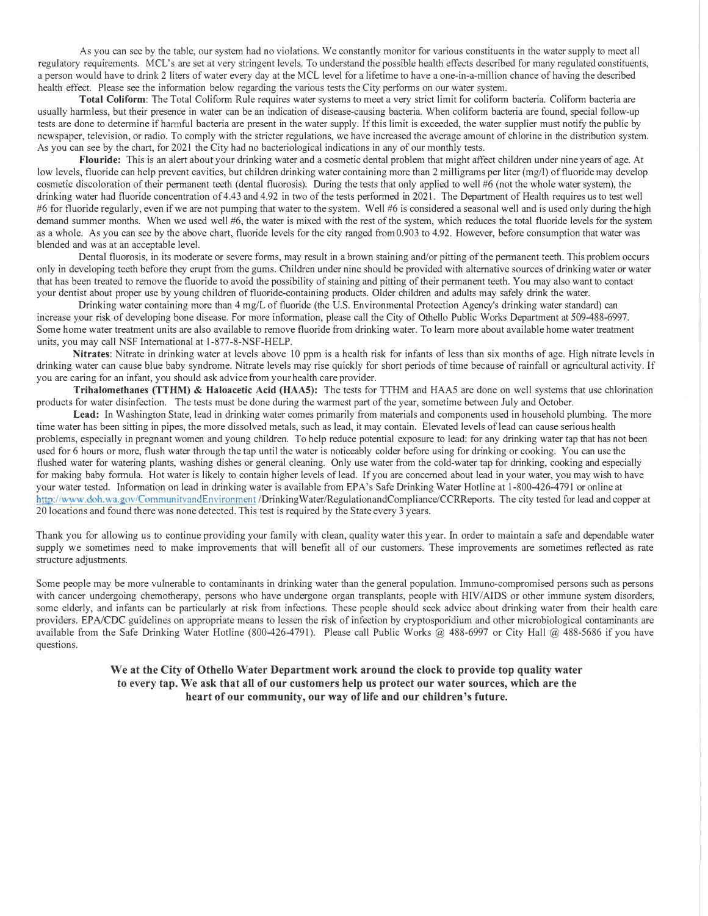As you can see by the table, our system had no violations. We constantly monitor for various constituents in the water supply to meet all regulatory requirements. MCL's are set at very stringent levels. To understand the possible health effects described for many regulated constituents, a person would have to drink 2 liters of water every day at the MCL level for a lifetime to have a one-in-a-million chance of having the described health effect. Please see the information below regarding the various tests the City performs on our water system.

**Total Coliform:** The Total Coliform Rule requires water systems to meet a very strict limit for coliform bacteria. Coliform bacteria are usually harmless, but their presence in water can be an indication of disease-causing bacteria. When coliform bacteria are found, special follow-up tests are done to determine if harmful bacteria are present in the water supply. If this limit is exceeded, the water supplier must notify the public by newspaper, television, or radio. To comply with the stricter regulations, we have increased the average amount of chlorine in the distribution system. As you can see by the chart, for 2021 the City had no bacteriological indications in any of our monthly tests.

**Flouride:** This is an alert about your drinking water and a cosmetic dental problem that might affect children under nine years of age. At low levels, fluoride can help prevent cavities, but children drinking water containing more than 2 milligrams per liter (mg/l) of fluoride may develop cosmetic discoloration of their permanent teeth (dental fluorosis). During the tests that only applied to well #6 (not the whole water system), the drinking water had fluoride concentration of 4.43 and 4.92 in two of the tests performed in 2021. The Department of Health requires us to test well #6 for fluoride regularly, even if we are not pumping that water to the system. Well #6 is considered a seasonal well and is used only during the high demand summer months. When we used well #6, the water is mixed with the rest of the system, which reduces the total fluoride levels for the system as a whole. As you can see by the above chart, fluoride levels for the city ranged from 0.903 to 4.92. However, before consumption that water was blended and was at an acceptable level.

Dental fluorosis, in its moderate or severe forms, may result in a brown staining and/or pitting of the permanent teeth. This problem occurs only in developing teeth before they erupt from the gums. Children under nine should be provided with alternative sources of drinking water or water that has been treated to remove the fluoride to avoid the possibility of staining and pitting of their permanent teeth. You may also want to contact your dentist about proper use by young children of fluoride-containing products. Older children and adults may safely drink the water.

Drinking water containing more than 4 mg/L of fluoride (the U.S. Environmental Protection Agency's drinking water standard) can increase your risk of developing bone disease. For more information, please call the City of Othello Public Works Department at 509-488-6997. Some home water treatment units are also available to remove fluoride from drinking water. To learn more about available home water treatment units, you may call NSF International at 1-877-8-NSF-HELP.

Nitrates: Nitrate in drinking water at levels above 10 ppm is a health risk for infants of less than six months of age. High nitrate levels in drinking water can cause blue baby syndrome. Nitrate levels may rise quickly for short periods of time because of rainfall or agricultural activity. If you are caring for an infant, you should ask advicefrom your health care provider.

**Trihalomethanes (TTHM) & Haloacetic Acid (HAAS):** The tests for TTHM and HAAS are done on well systems that use chlorination products for water disinfection. The tests must be done during the warmest part of the year, sometime between July and October.

**Lead:** In Washington State, lead in drinking water comes primarily from materials and components used in household plumbing. The more time water has been sitting in pipes, the more dissolved metals, such as lead, it may contain. Elevated levels of lead can cause serious health problems, especially in pregnant women and young children. To help reduce potential exposure to lead: for any drinking water tap that has not been used for 6 hours or more, flush water through the tap until the water is noticeably colder before using for drinking or cooking. You can use the flushed water for watering plants, washing dishes or general cleaning. Only use water from the cold-water tap for drinking, cooking and especially for making baby formula. Hot water is likely to contain higher levels of lead. If you are concerned about lead in your water, you may wish to have your water tested. Information on lead in drinking water is available from EP A's Safe Drinking Water Hotline at 1-800-426-4791 or online at http://www.doh.wa.gov/CommunityandEnvironment /DrinkingWater/RegulationandCompliance/CCRReports. The city tested for lead and copper at 20 locations and found there was none detected. This test is required by the State every 3 years.

Thank you for allowing us to continue providing your family with clean, quality water this year. In order to maintain a safe and dependable water supply we sometimes need to make improvements that will benefit all of our customers. These improvements are sometimes reflected as rate structure adjustments.

Some people may be more vulnerable to contaminants in drinking water than the general population. Immuno-compromised persons such as persons with cancer undergoing chemotherapy, persons who have undergone organ transplants, people with HIV/AIDS or other immune system disorders, some elderly, and infants can be particularly at risk from infections. These people should seek advice about drinking water from their health care providers. EP*NCDC* guidelines on appropriate means to lessen the risk of infection by cryptosporidium and other microbiological contaminants are available from the Safe Drinking Water Hotline (800-426-4791). Please call Public Works @ 488-6997 or City Hall @ 488-5686 if you have questions.

> **We at the City of Othello Water Department work around the clock to provide top quality water to every tap. We ask that all of our customers help us protect our water sources, which are the heart of our community, our way of life and our children's future.**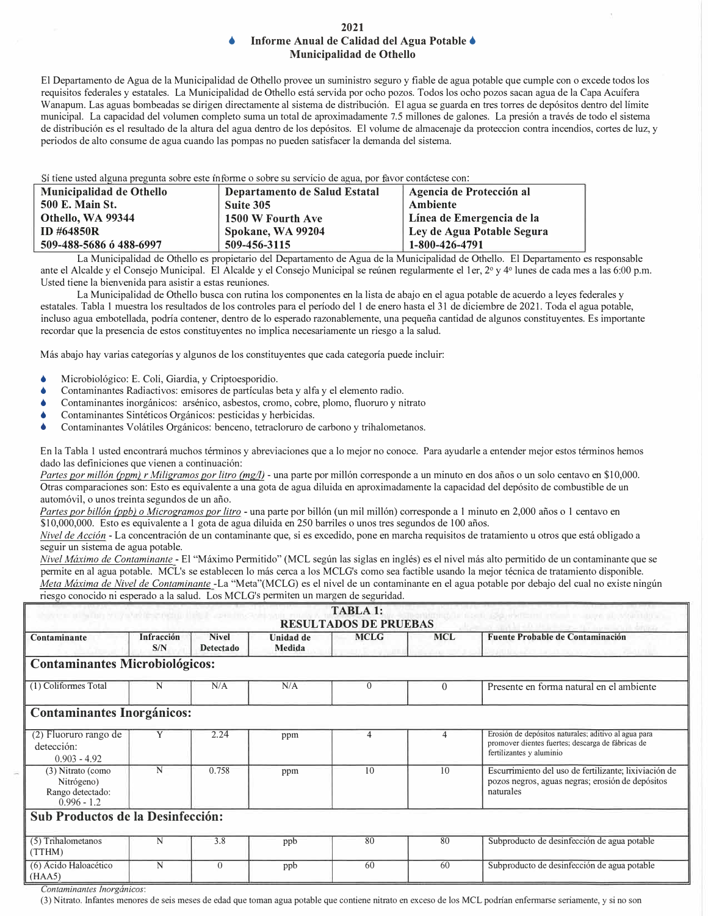## **2021 • Informe Anual de Calidad del Agua Potable • Municipalidad de Othello**

El Departamento de Agua de la Municipalidad de Othello provee un suministro seguro y fiable de agua potable que cumple con o excede todos los requisitos federales y estatales. La Municipalidad de Othello esta servida por ocho pozos. Todos los ocho pozos sacan agua de la Capa Acuffera Wanapum. Las aguas bombeadas se dirigen directamente al sistema de distribución. El agua se guarda en tres torres de depósitos dentro del límite municipal. La capacidad del volumen completo suma un total de aproximadamente 7.5 millones de galones. La presión a través de todo el sistema de distribución es el resultado de la altura del agua dentro de los depósitos. El volume de almacenaje da proteccion contra incendios, cortes de luz, y periodos de alto consume de agua cuando las pompas no pueden satisfacer la demanda del sistema.

i tiene usted alguna pregunta sobre este informe o sobre su servicio de agua, por favor contáctese con:

| Municipalidad de Othello | Departamento de Salud Estatal | Agencia de Protección al   |
|--------------------------|-------------------------------|----------------------------|
| <b>500 E. Main St.</b>   | Suite 305                     | Ambiente                   |
| Othello, WA 99344        | 1500 W Fourth Ave             | Línea de Emergencia de la  |
| <b>ID #64850R</b>        | Spokane, WA 99204             | Ley de Agua Potable Segura |
| 509-488-5686 6 488-6997  | 509-456-3115                  | 1-800-426-4791             |

La Municipalidad de Othello es propietario de! Departamento de Agua de la Municipalidad de Othello. El Departamento es responsable ante el Alcalde y el Consejo Municipal. El Alcalde y el Consejo Municipal se reúnen regularmente el 1 er, 2° y 4° lunes de cada mes a las 6:00 p.m. Usted tiene la bienvenida para asistir a estas reuniones.

La Municipalidad de Othello busca con rutina los componentes en la lista de abajo en el agua potable de acuerdo a leyes federales y estatales. Tabla I muestra los resultados de los controles para el periodo de! I de enero hasta el 31 de diciembre de 2021. Toda el agua potable, incluso agua embotellada, podria contener, dentro de lo esperado razonablemente, una pequefia cantidad de algunos constituyentes. Es importante recordar que la presencia de estos constituyentes no implica necesariamente un riesgo a la salud.

Mas abajo hay varias categorias y algunos de los constituyentes que cada categoria puede incluir:

- Microbiol6gico: E. Coli, Giardia, y Criptoesporidio.
- Contaminantes Radiactivos: emisores de partfculas beta y alfa y el elemento radio.
- Contaminantes inorganicos: arsenico, asbestos, cromo, cobre, plomo, fluoruro y nitrato
- Contaminantes Sintéticos Orgánicos: pesticidas y herbicidas.
- Contaminantes Volátiles Orgánicos: benceno, tetracloruro de carbono y trihalometanos.

En la Tabla 1 usted encontrará muchos términos y abreviaciones que a lo mejor no conoce. Para ayudarle a entender mejor estos términos hemos dado las definiciones que vienen a continuación:

Partes por millón (ppm) r Miligramos por litro (mg/l) - una parte por millón corresponde a un minuto en dos años o un solo centavo en \$10,000. Otras comparaciones son: Esto es equivalente a una gota de agua diluida en aproximadamente la capacidad del depósito de combustible de un autom6vil, o unos treinta segundos de un afio.

*Partes por billón (ppb) o Microgramos por litro* - una parte por billón (un mil millón) corresponde a 1 minuto en 2,000 años o 1 centavo en \$10,000,000. Esto es equivalente a I gota de agua diluida en 250 barriles o unos tres segundos de I 00 afios.

*Nivel de Acción* - La concentración de un contaminante que, si es excedido, pone en marcha requisitos de tratamiento u otros que está obligado a seguir un sistema de agua potable.

*Nivel Maximo de Contaminante* - El "Maximo Perrnitido" (MCL segun las siglas en ingles) es el nivel mas alto perrnitido de un contaminante que se perrnite en al agua potable. MCL's se establecen lo mas cerca a los MCLG's como sea factible usando la mejor tecnica de tratamiento disponible. *Meta Máxima de Nivel de Contaminante* -La "Meta"(MCLG) es el nivel de un contaminante en el agua potable por debajo del cual no existe ningún meta maxima de Triver de Comaminante-La Triver de (NCEG) es el filolo de dificondante.<br>Tresgo conocido ni esperado a la salud. Los MCLG's permiten un margen de seguridad.

| <b>TABLA 1:</b><br>医原子宫间 医间隙 医手术的 医皮肤性的 的第三人称形式人的<br>Олгания дорогители технической модели и с<br><b>RESULTADOS DE PRUEBAS</b> |                   |                                  |                            |                |            |                                                                                                                                       |
|--------------------------------------------------------------------------------------------------------------------------------|-------------------|----------------------------------|----------------------------|----------------|------------|---------------------------------------------------------------------------------------------------------------------------------------|
| Contaminante                                                                                                                   | Infracción<br>S/N | <b>Nivel</b><br><b>Detectado</b> | <b>Unidad de</b><br>Medida | <b>MCLG</b>    | <b>MCL</b> | <b>Fuente Probable de Contaminación</b>                                                                                               |
| <b>Contaminantes Microbiológicos:</b>                                                                                          |                   |                                  |                            |                |            |                                                                                                                                       |
| (1) Coliformes Total                                                                                                           | N                 | N/A                              | N/A                        | $\theta$       | $\Omega$   | Presente en forma natural en el ambiente                                                                                              |
| <b>Contaminantes Inorgánicos:</b>                                                                                              |                   |                                  |                            |                |            |                                                                                                                                       |
| (2) Fluoruro rango de<br>detección:<br>$0.903 - 4.92$                                                                          | Y                 | 2.24                             | ppm                        | $\overline{4}$ |            | Erosión de depósitos naturales; aditivo al agua para<br>promover dientes fuertes; descarga de fábricas de<br>fertilizantes y aluminio |
| (3) Nitrato (como<br>Nitrógeno)<br>Rango detectado:<br>$0.996 - 1.2$                                                           | N                 | 0.758                            | ppm                        | 10             | 10         | Escurrimiento del uso de fertilizante; lixiviación de<br>pozos negros, aguas negras; erosión de depósitos<br>naturales                |
| Sub Productos de la Desinfección:                                                                                              |                   |                                  |                            |                |            |                                                                                                                                       |
| (5) Trihalometanos<br>(TTHM)                                                                                                   | N                 | 3.8                              | ppb                        | 80             | 80         | Subproducto de desinfección de agua potable                                                                                           |
| (6) Acido Haloacético<br>(HAA5)                                                                                                | N                 | $\Omega$                         | ppb                        | 60             | 60         | Subproducto de desinfección de agua potable                                                                                           |

*Contaminantes lnorganicos:* 

(3) Nitrato. Infantes menores de seis meses de edad que toman agua potable que contiene nitrato en exceso de los MCL podtian enfennarse setiamente, y si no son